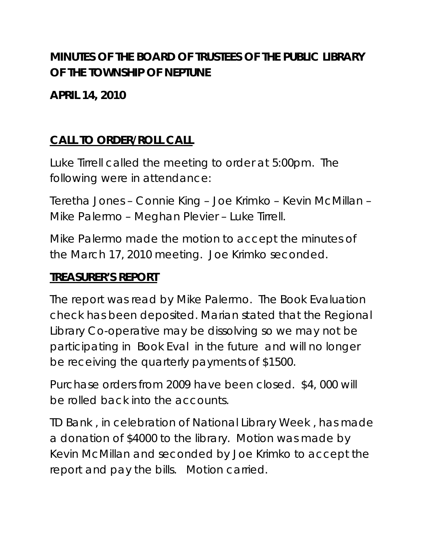# **MINUTES OF THE BOARD OF TRUSTEES OF THE PUBLIC LIBRARY OF THE TOWNSHIP OF NEPTUNE**

**APRIL 14, 2010** 

# **CALL TO ORDER/ROLL CALL**

Luke Tirrell called the meeting to order at 5:00pm. The following were in attendance:

Teretha Jones – Connie King – Joe Krimko – Kevin McMillan – Mike Palermo – Meghan Plevier – Luke Tirrell.

Mike Palermo made the motion to accept the minutes of the March 17, 2010 meeting. Joe Krimko seconded.

#### **TREASURER'S REPORT**

The report was read by Mike Palermo. The Book Evaluation check has been deposited. Marian stated that the Regional Library Co-operative may be dissolving so we may not be participating in Book Eval in the future and will no longer be receiving the quarterly payments of \$1500.

Purchase orders from 2009 have been closed. \$4, 000 will be rolled back into the accounts.

TD Bank , in celebration of National Library Week , has made a donation of \$4000 to the library. Motion was made by Kevin McMillan and seconded by Joe Krimko to accept the report and pay the bills. Motion carried.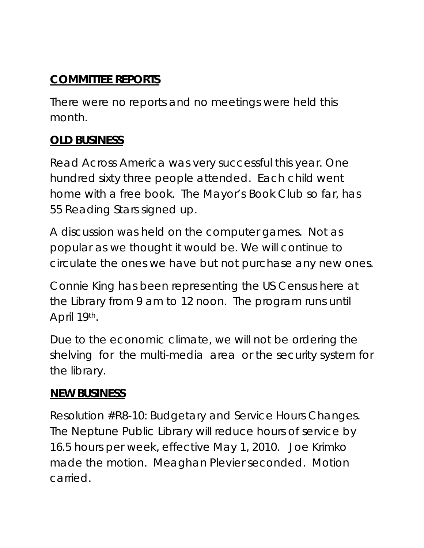## **COMMITTEE REPORTS**

There were no reports and no meetings were held this month.

## **OLD BUSINESS**

Read Across America was very successful this year. One hundred sixty three people attended. Each child went home with a free book. The Mayor's Book Club so far, has 55 Reading Stars signed up.

A discussion was held on the computer games. Not as popular as we thought it would be. We will continue to circulate the ones we have but not purchase any new ones.

Connie King has been representing the US Census here at the Library from 9 am to 12 noon. The program runs until April 19th.

Due to the economic climate, we will not be ordering the shelving for the multi-media area or the security system for the library.

#### **NEW BUSINESS**

Resolution #R8-10: Budgetary and Service Hours Changes. The Neptune Public Library will reduce hours of service by 16.5 hours per week, effective May 1, 2010. Joe Krimko made the motion. Meaghan Plevier seconded. Motion carried.